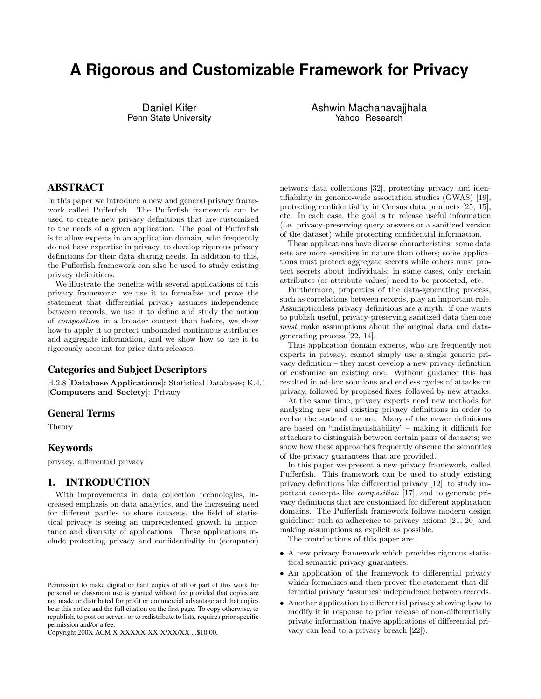# **A Rigorous and Customizable Framework for Privacy**

Daniel Kifer Penn State University Ashwin Machanavajjhala Yahoo! Research

# ABSTRACT

In this paper we introduce a new and general privacy framework called Pufferfish. The Pufferfish framework can be used to create new privacy definitions that are customized to the needs of a given application. The goal of Pufferfish is to allow experts in an application domain, who frequently do not have expertise in privacy, to develop rigorous privacy definitions for their data sharing needs. In addition to this, the Pufferfish framework can also be used to study existing privacy definitions.

We illustrate the benefits with several applications of this privacy framework: we use it to formalize and prove the statement that differential privacy assumes independence between records, we use it to define and study the notion of composition in a broader context than before, we show how to apply it to protect unbounded continuous attributes and aggregate information, and we show how to use it to rigorously account for prior data releases.

# Categories and Subject Descriptors

H.2.8 [Database Applications]: Statistical Databases; K.4.1 [Computers and Society]: Privacy

# General Terms

Theory

# Keywords

privacy, differential privacy

# 1. INTRODUCTION

With improvements in data collection technologies, increased emphasis on data analytics, and the increasing need for different parties to share datasets, the field of statistical privacy is seeing an unprecedented growth in importance and diversity of applications. These applications include protecting privacy and confidentiality in (computer)

Copyright 200X ACM X-XXXXX-XX-X/XX/XX ...\$10.00.

network data collections [\[32\]](#page-11-0), protecting privacy and identifiability in genome-wide association studies (GWAS) [\[19\]](#page-11-1), protecting confidentiality in Census data products [\[25,](#page-11-2) [15\]](#page-11-3), etc. In each case, the goal is to release useful information (i.e. privacy-preserving query answers or a sanitized version of the dataset) while protecting confidential information.

These applications have diverse characteristics: some data sets are more sensitive in nature than others; some applications must protect aggregate secrets while others must protect secrets about individuals; in some cases, only certain attributes (or attribute values) need to be protected, etc.

Furthermore, properties of the data-generating process, such as correlations between records, play an important role. Assumptionless privacy definitions are a myth: if one wants to publish useful, privacy-preserving sanitized data then one must make assumptions about the original data and datagenerating process [\[22,](#page-11-4) [14\]](#page-11-5).

Thus application domain experts, who are frequently not experts in privacy, cannot simply use a single generic privacy definition – they must develop a new privacy definition or customize an existing one. Without guidance this has resulted in ad-hoc solutions and endless cycles of attacks on privacy, followed by proposed fixes, followed by new attacks.

At the same time, privacy experts need new methods for analyzing new and existing privacy definitions in order to evolve the state of the art. Many of the newer definitions are based on "indistinguishability" – making it difficult for attackers to distinguish between certain pairs of datasets; we show how these approaches frequently obscure the semantics of the privacy guarantees that are provided.

In this paper we present a new privacy framework, called Pufferfish. This framework can be used to study existing privacy definitions like differential privacy [\[12\]](#page-11-6), to study important concepts like composition [\[17\]](#page-11-7), and to generate privacy definitions that are customized for different application domains. The Pufferfish framework follows modern design guidelines such as adherence to privacy axioms [\[21,](#page-11-8) [20\]](#page-11-9) and making assumptions as explicit as possible.

The contributions of this paper are:

- A new privacy framework which provides rigorous statistical semantic privacy guarantees.
- An application of the framework to differential privacy which formalizes and then proves the statement that differential privacy "assumes"independence between records.
- Another application to differential privacy showing how to modify it in response to prior release of non-differentially private information (naive applications of differential privacy can lead to a privacy breach [\[22\]](#page-11-4)).

Permission to make digital or hard copies of all or part of this work for personal or classroom use is granted without fee provided that copies are not made or distributed for profit or commercial advantage and that copies bear this notice and the full citation on the first page. To copy otherwise, to republish, to post on servers or to redistribute to lists, requires prior specific permission and/or a fee.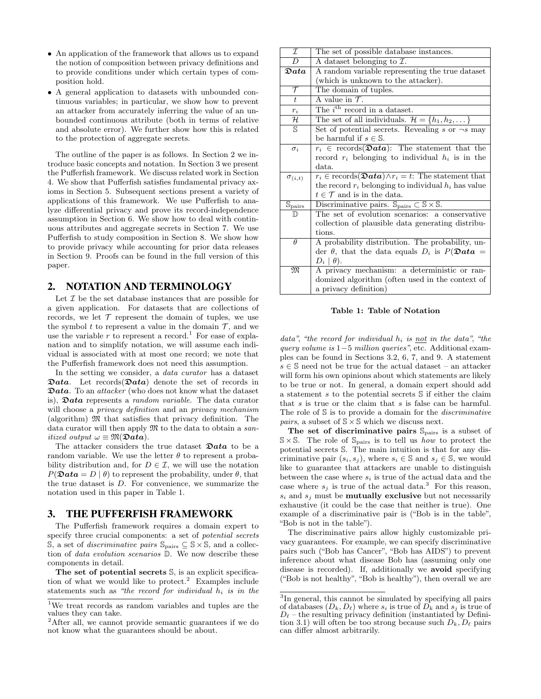- An application of the framework that allows us to expand the notion of composition between privacy definitions and to provide conditions under which certain types of composition hold.
- A general application to datasets with unbounded continuous variables; in particular, we show how to prevent an attacker from accurately inferring the value of an unbounded continuous attribute (both in terms of relative and absolute error). We further show how this is related to the protection of aggregate secrets.

The outline of the paper is as follows. In Section [2](#page-1-0) we introduce basic concepts and notation. In Section [3](#page-1-1) we present the Pufferfish framework. We discuss related work in Section [4.](#page-3-0) We show that Pufferfish satisfies fundamental privacy axioms in Section [5.](#page-4-0) Subsequent sections present a variety of applications of this framework. We use Pufferfish to analyze differential privacy and prove its record-independence assumption in Section [6.](#page-4-1) We show how to deal with continuous attributes and aggregate secrets in Section [7.](#page-5-0) We use Pufferfish to study composition in Section [8.](#page-7-0) We show how to provide privacy while accounting for prior data releases in Section [9.](#page-9-0) Proofs can be found in the full version of this paper.

# <span id="page-1-0"></span>2. NOTATION AND TERMINOLOGY

Let  $\mathcal I$  be the set database instances that are possible for a given application. For datasets that are collections of records, we let  $\mathcal T$  represent the domain of tuples, we use the symbol t to represent a value in the domain  $\mathcal{T}$ , and we use the variable r to represent a record.<sup>[1](#page-1-2)</sup> For ease of explanation and to simplify notation, we will assume each individual is associated with at most one record; we note that the Pufferfish framework does not need this assumption.

In the setting we consider, a data curator has a dataset  $\mathfrak{D}ata.$  Let records  $(\mathfrak{D}ata)$  denote the set of records in  $\mathfrak{D}ata$ . To an *attacker* (who does not know what the dataset is),  $\mathfrak{Data}$  represents a *random variable*. The data curator will choose a *privacy definition* and an *privacy mechanism* (algorithm)  $\mathfrak{M}$  that satisfies that privacy definition. The data curator will then apply  $\mathfrak{M}$  to the data to obtain a sanitized output  $\omega \equiv \mathfrak{M}(\mathfrak{D}ata)$ .

The attacker considers the true dataset  $\mathfrak{D}ata$  to be a random variable. We use the letter  $\theta$  to represent a probability distribution and, for  $D \in \mathcal{I}$ , we will use the notation  $P(\mathcal{D}ata = D | \theta)$  to represent the probability, under  $\theta$ , that the true dataset is  $D$ . For convenience, we summarize the notation used in this paper in Table [1.](#page-1-3)

# <span id="page-1-1"></span>3. THE PUFFERFISH FRAMEWORK

The Pufferfish framework requires a domain expert to specify three crucial components: a set of *potential secrets* S, a set of *discriminative pairs*  $\mathbb{S}_{\text{pairs}}$  ⊆ S × S, and a collection of data evolution scenarios D. We now describe these components in detail.

The set of potential secrets  $\mathbb{S}$ , is an explicit specifica-tion of what we would like to protect.<sup>[2](#page-1-4)</sup> Examples include statements such as "the record for individual  $h_i$  is in the

<span id="page-1-3"></span>

| $\overline{\mathcal{I}}$    | The set of possible database instances.                                                  |  |  |  |  |  |  |
|-----------------------------|------------------------------------------------------------------------------------------|--|--|--|--|--|--|
| $\overline{D}$              | A dataset belonging to $\mathcal{I}.$                                                    |  |  |  |  |  |  |
| $\mathfrak{D}ata$           | A random variable representing the true dataset                                          |  |  |  |  |  |  |
|                             | (which is unknown to the attacker).                                                      |  |  |  |  |  |  |
| $\tau$                      | The domain of tuples.                                                                    |  |  |  |  |  |  |
| $\overline{t}$              | A value in $\mathcal{T}$ .                                                               |  |  |  |  |  |  |
| $r_i$                       | The $i^{\text{th}}$ record in a dataset.                                                 |  |  |  |  |  |  |
| ${\mathcal H}$              | The set of all individuals. $\mathcal{H} = \{h_1, h_2, \dots\}$                          |  |  |  |  |  |  |
| $\mathbb{S}$                | Set of potential secrets. Revealing $s$ or $\neg s$ may                                  |  |  |  |  |  |  |
|                             | be harmful if $s \in \mathbb{S}$ .                                                       |  |  |  |  |  |  |
| $\sigma_i$                  | $r_i \in \text{records}(\mathcal{D}ata)$ : The statement that the                        |  |  |  |  |  |  |
|                             | record $r_i$ belonging to individual $h_i$ is in the                                     |  |  |  |  |  |  |
|                             | data.                                                                                    |  |  |  |  |  |  |
| $\sigma_{(i,t)}$            | $r_i \in \text{records}(\mathbf{\mathfrak{Data}}) \land r_i = t$ : The statement that    |  |  |  |  |  |  |
|                             | the record $r_i$ belonging to individual $h_i$ has value                                 |  |  |  |  |  |  |
|                             | $t \in \mathcal{T}$ and is in the data.                                                  |  |  |  |  |  |  |
| $\mathbb{S}_{\text{pairs}}$ | Discriminative pairs. $\mathbb{S}_{\text{pairs}} \subset \mathbb{S} \times \mathbb{S}$ . |  |  |  |  |  |  |
| $\mathbb D$                 | The set of evolution scenarios: a conservative                                           |  |  |  |  |  |  |
|                             | collection of plausible data generating distribu-                                        |  |  |  |  |  |  |
|                             | tions.                                                                                   |  |  |  |  |  |  |
| $\theta$                    | A probability distribution. The probability, un-                                         |  |  |  |  |  |  |
|                             | der $\theta$ , that the data equals $D_i$ is $P(\mathfrak{D}ata)$                        |  |  |  |  |  |  |
|                             | $D_i   \theta$ .                                                                         |  |  |  |  |  |  |
| M                           | A privacy mechanism: a deterministic or ran-                                             |  |  |  |  |  |  |
|                             | domized algorithm (often used in the context of                                          |  |  |  |  |  |  |
|                             | a privacy definition)                                                                    |  |  |  |  |  |  |

#### Table 1: Table of Notation

data", "the record for individual  $h_i$  is not in the data", "the query volume is 1−5 million queries", etc. Additional examples can be found in Sections [3.2,](#page-3-1) [6,](#page-4-1) [7,](#page-5-0) and [9.](#page-9-0) A statement  $s \in \mathbb{S}$  need not be true for the actual dataset – an attacker will form his own opinions about which statements are likely to be true or not. In general, a domain expert should add a statement s to the potential secrets S if either the claim that s is true or the claim that s is false can be harmful. The role of S is to provide a domain for the *discriminative pairs*, a subset of  $S \times S$  which we discuss next.

The set of discriminative pairs  $\mathcal{S}_{\text{pairs}}$  is a subset of  $S \times S$ . The role of  $S_{pairs}$  is to tell us *how* to protect the potential secrets S. The main intuition is that for any discriminative pair  $(s_i, s_j)$ , where  $s_i \in \mathbb{S}$  and  $s_j \in \mathbb{S}$ , we would like to guarantee that attackers are unable to distinguish between the case where  $s_i$  is true of the actual data and the case where  $s_i$  is true of the actual data.<sup>[3](#page-1-5)</sup> For this reason,  $s_i$  and  $s_j$  must be **mutually exclusive** but not necessarily exhaustive (it could be the case that neither is true). One example of a discriminative pair is ("Bob is in the table", "Bob is not in the table").

The discriminative pairs allow highly customizable privacy guarantees. For example, we can specify discriminative pairs such ("Bob has Cancer", "Bob has AIDS") to prevent inference about what disease Bob has (assuming only one disease is recorded). If, additionally we avoid specifying ("Bob is not healthy", "Bob is healthy"), then overall we are

<span id="page-1-2"></span><sup>1</sup>We treat records as random variables and tuples are the values they can take.

<span id="page-1-4"></span><sup>&</sup>lt;sup>2</sup>After all, we cannot provide semantic guarantees if we do not know what the guarantees should be about.

<span id="page-1-5"></span><sup>&</sup>lt;sup>3</sup>In general, this cannot be simulated by specifying all pairs of databases  $(D_k, D_\ell)$  where  $s_i$  is true of  $D_k$  and  $s_j$  is true of  $D_{\ell}$  – the resulting privacy definition (instantiated by Defini-tion [3.1\)](#page-2-0) will often be too strong because such  $D_k, D_\ell$  pairs can differ almost arbitrarily.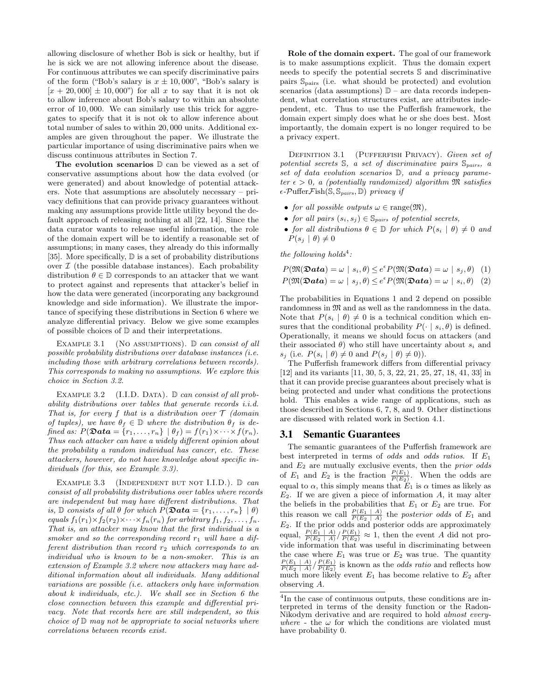allowing disclosure of whether Bob is sick or healthy, but if he is sick we are not allowing inference about the disease. For continuous attributes we can specify discriminative pairs of the form ("Bob's salary is  $x \pm 10,000$ ", "Bob's salary is  $[x + 20,000] \pm 10,000$ " for all x to say that it is not ok to allow inference about Bob's salary to within an absolute error of 10, 000. We can similarly use this trick for aggregates to specify that it is not ok to allow inference about total number of sales to within 20, 000 units. Additional examples are given throughout the paper. We illustrate the particular importance of using discriminative pairs when we discuss continuous attributes in Section [7.](#page-5-0)

The evolution scenarios  $\mathbb D$  can be viewed as a set of conservative assumptions about how the data evolved (or were generated) and about knowledge of potential attackers. Note that assumptions are absolutely necessary – privacy definitions that can provide privacy guarantees without making any assumptions provide little utility beyond the default approach of releasing nothing at all [\[22,](#page-11-4) [14\]](#page-11-5). Since the data curator wants to release useful information, the role of the domain expert will be to identify a reasonable set of assumptions; in many cases, they already do this informally [\[35\]](#page-11-10). More specifically,  $\mathbb{D}$  is a set of probability distributions over  $\mathcal I$  (the possible database instances). Each probability distribution  $\theta \in \mathbb{D}$  corresponds to an attacker that we want to protect against and represents that attacker's belief in how the data were generated (incorporating any background knowledge and side information). We illustrate the importance of specifying these distributions in Section [6](#page-4-1) where we analyze differential privacy. Below we give some examples of possible choices of D and their interpretations.

EXAMPLE 3.1 (NO ASSUMPTIONS).  $\mathbb{D}$  can consist of all possible probability distributions over database instances (i.e. including those with arbitrary correlations between records). This corresponds to making no assumptions. We explore this choice in Section [3.2.](#page-3-1)

<span id="page-2-2"></span>EXAMPLE 3.2 (I.I.D. DATA).  $\mathbb{D}$  can consist of all probability distributions over tables that generate records i.i.d. That is, for every  $f$  that is a distribution over  $T$  (domain of tuples), we have  $\theta_f \in \mathbb{D}$  where the distribution  $\theta_f$  is defined as:  $P(\mathfrak{Data} = \{r_1, \ldots, r_n\} \mid \theta_f) = f(r_1) \times \cdots \times f(r_n).$ Thus each attacker can have a widely different opinion about the probability a random individual has cancer, etc. These attackers, however, do not have knowledge about specific individuals (for this, see Example [3.3\)](#page-2-1).

<span id="page-2-1"></span>EXAMPLE 3.3 (INDEPENDENT BUT NOT I.I.D.).  $\mathbb{D}$  can consist of all probability distributions over tables where records are independent but may have different distributions. That is,  $\mathbb D$  consists of all  $\theta$  for which  $P(\mathfrak{Data} = \{r_1, \ldots, r_n\} | \theta)$ equals  $f_1(r_1)\times f_2(r_2)\times \cdots \times f_n(r_n)$  for arbitrary  $f_1, f_2, \ldots, f_n$ . That is, an attacker may know that the first individual is a smoker and so the corresponding record  $r_1$  will have a different distribution than record  $r_2$  which corresponds to an individual who is known to be a non-smoker. This is an extension of Example [3.2](#page-2-2) where now attackers may have additional information about all individuals. Many additional variations are possible (i.e. attackers only have information about k individuals, etc.). We shall see in Section [6](#page-4-1) the close connection between this example and differential privacy. Note that records here are still independent, so this choice of  $D$  may not be appropriate to social networks where correlations between records exist.

Role of the domain expert. The goal of our framework is to make assumptions explicit. Thus the domain expert needs to specify the potential secrets S and discriminative pairs Spairs (i.e. what should be protected) and evolution scenarios (data assumptions)  $\mathbb{D}$  – are data records independent, what correlation structures exist, are attributes independent, etc. Thus to use the Pufferfish framework, the domain expert simply does what he or she does best. Most importantly, the domain expert is no longer required to be a privacy expert.

<span id="page-2-0"></span>DEFINITION 3.1 (PUFFERFISH PRIVACY). Given set of potential secrets  $S$ , a set of discriminative pairs  $S_{pairs}$ , a set of data evolution scenarios D, and a privacy parameter  $\epsilon > 0$ , a (potentially randomized) algorithm  $\mathfrak{M}$  satisfies  $\epsilon$ -PufferFish(S, S<sub>pairs</sub>, D) privacy if

- for all possible outputs  $\omega \in \text{range}(\mathfrak{M})$ ,
- for all pairs  $(s_i, s_j) \in \mathbb{S}_{pairs}$  of potential secrets,
- for all distributions  $\theta \in \mathbb{D}$  for which  $P(s_i | \theta) \neq 0$  and  $P(s_i | \theta) \neq 0$

the following holds<sup>[4](#page-2-3)</sup>:

<span id="page-2-4"></span>
$$
P(\mathfrak{M}(\mathfrak{D} \mathbf{ata}) = \omega \mid s_i, \theta) \leq e^{\epsilon} P(\mathfrak{M}(\mathfrak{D} \mathbf{ata}) = \omega \mid s_j, \theta) \quad (1)
$$
  

$$
P(\mathfrak{M}(\mathfrak{D} \mathbf{ata}) = \omega \mid s_j, \theta) \leq e^{\epsilon} P(\mathfrak{M}(\mathfrak{D} \mathbf{ata}) = \omega \mid s_i, \theta) \quad (2)
$$

<span id="page-2-5"></span>The probabilities in Equations [1](#page-2-4) and [2](#page-2-4) depend on possible randomness in  $\mathfrak{M}$  and as well as the randomness in the data. Note that  $P(s_i | \theta) \neq 0$  is a technical condition which ensures that the conditional probability  $P(\cdot | s_i, \theta)$  is defined. Operationally, it means we should focus on attackers (and their associated  $\theta$ ) who still have uncertainty about  $s_i$  and  $s_i$  (i.e.  $P(s_i | \theta) \neq 0$  and  $P(s_i | \theta) \neq 0$ )).

The Pufferfish framework differs from differential privacy [\[12\]](#page-11-6) and its variants [\[11,](#page-11-11) [30,](#page-11-12) [5,](#page-11-13) [3,](#page-11-14) [22,](#page-11-4) [21,](#page-11-8) [25,](#page-11-2) [27,](#page-11-15) [18,](#page-11-16) [41,](#page-11-17) [33\]](#page-11-18) in that it can provide precise guarantees about precisely what is being protected and under what conditions the protections hold. This enables a wide range of applications, such as those described in Sections [6,](#page-4-1) [7,](#page-5-0) [8,](#page-7-0) and [9.](#page-9-0) Other distinctions are discussed with related work in Section [4.1.](#page-3-2)

#### <span id="page-2-6"></span>3.1 Semantic Guarantees

The semantic guarantees of the Pufferfish framework are best interpreted in terms of odds and odds ratios. If  $E_1$ and  $E_2$  are mutually exclusive events, then the *prior odds* of  $E_1$  and  $E_2$  is the fraction  $\frac{P(E_1)}{P(E_2)}$ . When the odds are equal to  $\alpha$ , this simply means that  $E_1$  is  $\alpha$  times as likely as  $E_2$ . If we are given a piece of information  $A$ , it may alter the beliefs in the probabilities that  $E_1$  or  $E_2$  are true. For this reason we call  $\frac{P(E_1 \mid A)}{P(E_2 \mid A)}$  the *posterior odds* of  $E_1$  and  $E<sub>2</sub>$ . If the prior odds and posterior odds are approximately equal,  $\frac{P(E_1 \mid A)}{P(E_2 \mid A)} / \frac{P(E_1)}{P(E_2)} \approx 1$ , then the event A did not provide information that was useful in discriminating between the case where  $E_1$  was true or  $E_2$  was true. The quantity  $\frac{P(E_1 \mid A)}{P(E_2 \mid A)} / \frac{P(E_1)}{P(E_2)}$  is known as the *odds ratio* and reflects how much more likely event  $E_1$  has become relative to  $E_2$  after observing A.

<span id="page-2-3"></span><sup>&</sup>lt;sup>4</sup>In the case of continuous outputs, these conditions are interpreted in terms of the density function or the Radon-Nikodym derivative and are required to hold *almost every*where - the  $\omega$  for which the conditions are violated must have probability 0.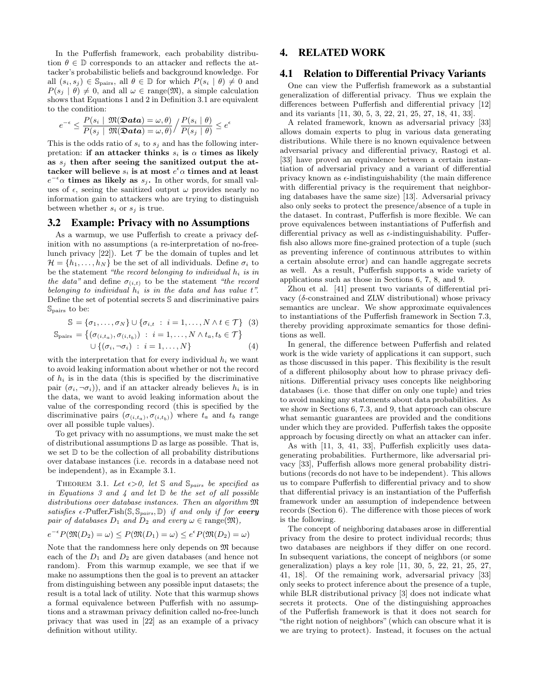In the Pufferfish framework, each probability distribution  $\theta \in \mathbb{D}$  corresponds to an attacker and reflects the attacker's probabilistic beliefs and background knowledge. For all  $(s_i, s_j) \in \mathbb{S}_{\text{pairs}}$ , all  $\theta \in \mathbb{D}$  for which  $P(s_i | \theta) \neq 0$  and  $P(s_i | \theta) \neq 0$ , and all  $\omega \in \text{range}(\mathfrak{M})$ , a simple calculation shows that Equations [1](#page-2-4) and [2](#page-2-4) in Definition [3.1](#page-2-0) are equivalent to the condition:

$$
e^{-\epsilon} \le \frac{P(s_i \mid \mathfrak{M}(\mathfrak{D} \mathbf{ata}) = \omega, \theta)}{P(s_i \mid \mathfrak{M}(\mathfrak{D} \mathbf{ata}) = \omega, \theta)} / \frac{P(s_i \mid \theta)}{P(s_j \mid \theta)} \le e^{\epsilon}
$$

This is the odds ratio of  $s_i$  to  $s_j$  and has the following interpretation: if an attacker thinks  $s_i$  is  $\alpha$  times as likely as  $s_j$  then after seeing the sanitized output the attacker will believe  $s_i$  is at most  $e^\epsilon \alpha$  times and at least  $e^{-\epsilon} \alpha$  times as likely as  $s_j$ . In other words, for small values of  $\epsilon$ , seeing the sanitized output  $\omega$  provides nearly no information gain to attackers who are trying to distinguish between whether  $s_i$  or  $s_j$  is true.

# <span id="page-3-1"></span>3.2 Example: Privacy with no Assumptions

As a warmup, we use Pufferfish to create a privacy definition with no assumptions (a re-interpretation of no-freelunch privacy  $[22]$ . Let  $\mathcal T$  be the domain of tuples and let  $\mathcal{H} = \{h_1, \ldots, h_N\}$  be the set of all individuals. Define  $\sigma_i$  to be the statement "the record belonging to individual  $h_i$  is in the data" and define  $\sigma_{(i,t)}$  to be the statement "the record" belonging to individual  $h_i$  is in the data and has value  $t$ ". Define the set of potential secrets S and discriminative pairs Spairs to be:

<span id="page-3-3"></span>
$$
\mathbb{S} = \{\sigma_1, \dots, \sigma_N\} \cup \{\sigma_{i,t} : i = 1, \dots, N \land t \in \mathcal{T}\}\tag{3}
$$
\n
$$
= \{(\sigma_{i,t} \land \sigma_{i,t-1}) : i = 1, \dots, N \land t, t \in \mathcal{T}\}\
$$

$$
\mathbb{S}_{\text{pairs}} = \left\{ (\sigma_{(i,t_a)}, \sigma_{(i,t_b)}) \; : \; i = 1, \dots, N \land t_a, t_b \in \mathcal{T} \right\}
$$

$$
\cup \; \left\{ (\sigma_i, \neg \sigma_i) \; : \; i = 1, \dots, N \right\} \tag{4}
$$

with the interpretation that for every individual  $h_i$  we want to avoid leaking information about whether or not the record of  $h_i$  is in the data (this is specified by the discriminative pair  $(\sigma_i, \neg \sigma_i)$ , and if an attacker already believes  $h_i$  is in the data, we want to avoid leaking information about the value of the corresponding record (this is specified by the discriminative pairs  $(\sigma_{(i,t_a)}, \sigma_{(i,t_b)})$  where  $t_a$  and  $t_b$  range over all possible tuple values).

To get privacy with no assumptions, we must make the set of distributional assumptions D as large as possible. That is, we set  $\mathbb D$  to be the collection of all probability distributions over database instances (i.e. records in a database need not be independent), as in Example [3.1.](#page-2-5)

THEOREM 3.1. Let  $\epsilon > 0$ , let S and S<sub>pairs</sub> be specified as in Equations [3](#page-3-3) and [4](#page-3-3) and let  $\mathbb D$  be the set of all possible distributions over database instances. Then an algorithm M satisfies  $\epsilon$ -PufferFish(S, S<sub>pairs</sub>, D) if and only if for every pair of databases  $D_1$  and  $D_2$  and every  $\omega \in \text{range}(\mathfrak{M}),$ 

$$
e^{-\epsilon}P(\mathfrak{M}(D_2) = \omega) \le P(\mathfrak{M}(D_1) = \omega) \le e^{\epsilon}P(\mathfrak{M}(D_2) = \omega)
$$

Note that the randomness here only depends on  $\mathfrak{M}$  because each of the  $D_1$  and  $D_2$  are given databases (and hence not random). From this warmup example, we see that if we make no assumptions then the goal is to prevent an attacker from distinguishing between any possible input datasets; the result is a total lack of utility. Note that this warmup shows a formal equivalence between Pufferfish with no assumptions and a strawman privacy definition called no-free-lunch privacy that was used in [\[22\]](#page-11-4) as an example of a privacy definition without utility.

# <span id="page-3-0"></span>4. RELATED WORK

# <span id="page-3-2"></span>4.1 Relation to Differential Privacy Variants

One can view the Pufferfish framework as a substantial generalization of differential privacy. Thus we explain the differences between Pufferfish and differential privacy [\[12\]](#page-11-6) and its variants [\[11,](#page-11-11) [30,](#page-11-12) [5,](#page-11-13) [3,](#page-11-14) [22,](#page-11-4) [21,](#page-11-8) [25,](#page-11-2) [27,](#page-11-15) [18,](#page-11-16) [41,](#page-11-17) [33\]](#page-11-18).

A related framework, known as adversarial privacy [\[33\]](#page-11-18) allows domain experts to plug in various data generating distributions. While there is no known equivalence between adversarial privacy and differential privacy, Rastogi et al. [\[33\]](#page-11-18) have proved an equivalence between a certain instantiation of adversarial privacy and a variant of differential privacy known as  $\epsilon$ -indistinguishability (the main difference with differential privacy is the requirement that neighboring databases have the same size) [\[13\]](#page-11-19). Adversarial privacy also only seeks to protect the presence/absence of a tuple in the dataset. In contrast, Pufferfish is more flexible. We can prove equivalences between instantiations of Pufferfish and differential privacy as well as  $\epsilon$ -indistinguishability. Pufferfish also allows more fine-grained protection of a tuple (such as preventing inference of continuous attributes to within a certain absolute error) and can handle aggregate secrets as well. As a result, Pufferfish supports a wide variety of applications such as those in Sections [6,](#page-4-1) [7,](#page-5-0) [8,](#page-7-0) and [9.](#page-9-0)

Zhou et al. [\[41\]](#page-11-17) present two variants of differential privacy (δ-constrained and ZLW distributional) whose privacy semantics are unclear. We show approximate equivalences to instantiations of the Pufferfish framework in Section [7.3,](#page-6-0) thereby providing approximate semantics for those definitions as well.

In general, the difference between Pufferfish and related work is the wide variety of applications it can support, such as those discussed in this paper. This flexibility is the result of a different philosophy about how to phrase privacy definitions. Differential privacy uses concepts like neighboring databases (i.e. those that differ on only one tuple) and tries to avoid making any statements about data probabilities. As we show in Sections [6,](#page-4-1) [7.3,](#page-6-0) and [9,](#page-9-0) that approach can obscure what semantic guarantees are provided and the conditions under which they are provided. Pufferfish takes the opposite approach by focusing directly on what an attacker can infer.

As with [\[11,](#page-11-11) [3,](#page-11-14) [41,](#page-11-17) [33\]](#page-11-18), Pufferfish explicitly uses datagenerating probabilities. Furthermore, like adversarial privacy [\[33\]](#page-11-18), Pufferfish allows more general probability distributions (records do not have to be independent). This allows us to compare Pufferfish to differential privacy and to show that differential privacy is an instantiation of the Pufferfish framework under an assumption of independence between records (Section [6\)](#page-4-1). The difference with those pieces of work is the following.

The concept of neighboring databases arose in differential privacy from the desire to protect individual records; thus two databases are neighbors if they differ on one record. In subsequent variations, the concept of neighbors (or some generalization) plays a key role [\[11,](#page-11-11) [30,](#page-11-12) [5,](#page-11-13) [22,](#page-11-4) [21,](#page-11-8) [25,](#page-11-2) [27,](#page-11-15) [41,](#page-11-17) [18\]](#page-11-16). Of the remaining work, adversarial privacy [\[33\]](#page-11-18) only seeks to protect inference about the presence of a tuple, while BLR distributional privacy [\[3\]](#page-11-14) does not indicate what secrets it protects. One of the distinguishing approaches of the Pufferfish framework is that it does not search for "the right notion of neighbors" (which can obscure what it is we are trying to protect). Instead, it focuses on the actual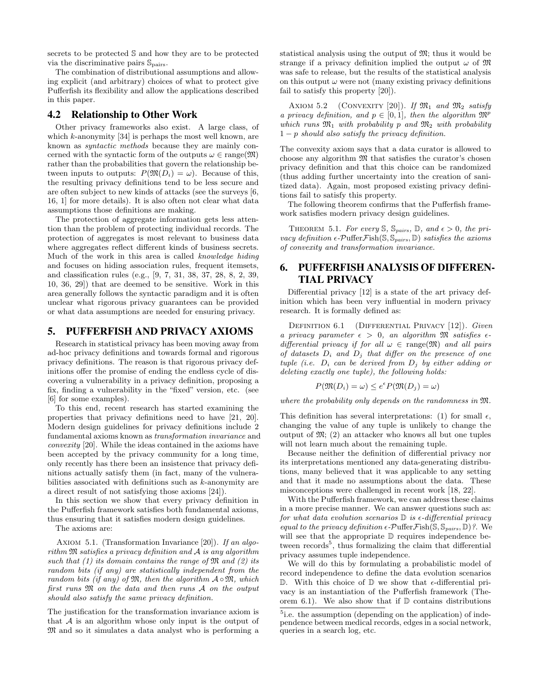secrets to be protected S and how they are to be protected via the discriminative pairs Spairs.

The combination of distributional assumptions and allowing explicit (and arbitrary) choices of what to protect give Pufferfish its flexibility and allow the applications described in this paper.

# 4.2 Relationship to Other Work

Other privacy frameworks also exist. A large class, of which  $k$ -anonymity [\[34\]](#page-11-20) is perhaps the most well known, are known as syntactic methods because they are mainly concerned with the syntactic form of the outputs  $\omega \in \text{range}(\mathfrak{M})$ rather than the probabilities that govern the relationship between inputs to outputs:  $P(\mathfrak{M}(D_i) = \omega)$ . Because of this, the resulting privacy definitions tend to be less secure and are often subject to new kinds of attacks (see the surveys [\[6,](#page-11-21) [16,](#page-11-22) [1\]](#page-11-23) for more details). It is also often not clear what data assumptions those definitions are making.

The protection of aggregate information gets less attention than the problem of protecting individual records. The protection of aggregates is most relevant to business data where aggregates reflect different kinds of business secrets. Much of the work in this area is called knowledge hiding and focuses on hiding association rules, frequent itemsets, and classification rules (e.g., [\[9,](#page-11-24) [7,](#page-11-25) [31,](#page-11-26) [38,](#page-11-27) [37,](#page-11-28) [28,](#page-11-29) [8,](#page-11-30) [2,](#page-11-31) [39,](#page-11-32) [10,](#page-11-33) [36,](#page-11-34) [29\]](#page-11-35)) that are deemed to be sensitive. Work in this area generally follows the syntactic paradigm and it is often unclear what rigorous privacy guarantees can be provided or what data assumptions are needed for ensuring privacy.

# <span id="page-4-0"></span>5. PUFFERFISH AND PRIVACY AXIOMS

Research in statistical privacy has been moving away from ad-hoc privacy definitions and towards formal and rigorous privacy definitions. The reason is that rigorous privacy definitions offer the promise of ending the endless cycle of discovering a vulnerability in a privacy definition, proposing a fix, finding a vulnerability in the "fixed" version, etc. (see [\[6\]](#page-11-21) for some examples).

To this end, recent research has started examining the properties that privacy definitions need to have [\[21,](#page-11-8) [20\]](#page-11-9). Modern design guidelines for privacy definitions include 2 fundamental axioms known as transformation invariance and convexity [\[20\]](#page-11-9). While the ideas contained in the axioms have been accepted by the privacy community for a long time, only recently has there been an insistence that privacy definitions actually satisfy them (in fact, many of the vulnerabilities associated with definitions such as k-anonymity are a direct result of not satisfying those axioms [\[24\]](#page-11-36)).

In this section we show that every privacy definition in the Pufferfish framework satisfies both fundamental axioms, thus ensuring that it satisfies modern design guidelines.

The axioms are:

AXIOM 5.1. (Transformation Invariance [\[20\]](#page-11-9)). If an algorithm M satisfies a privacy definition and A is any algorithm such that (1) its domain contains the range of  $\mathfrak{M}$  and (2) its random bits (if any) are statistically independent from the random bits (if any) of  $\mathfrak{M}$ , then the algorithm  $A \circ \mathfrak{M}$ , which first runs M on the data and then runs A on the output should also satisfy the same privacy definition.

The justification for the transformation invariance axiom is that  $A$  is an algorithm whose only input is the output of M and so it simulates a data analyst who is performing a

statistical analysis using the output of M; thus it would be strange if a privacy definition implied the output  $\omega$  of  $\mathfrak{M}$ was safe to release, but the results of the statistical analysis on this output  $\omega$  were not (many existing privacy definitions fail to satisfy this property [\[20\]](#page-11-9)).

AXIOM 5.2 (CONVEXITY [\[20\]](#page-11-9)). If  $\mathfrak{M}_1$  and  $\mathfrak{M}_2$  satisfy a privacy definition, and  $p \in [0,1]$ , then the algorithm  $\mathfrak{M}^p$ which runs  $\mathfrak{M}_1$  with probability p and  $\mathfrak{M}_2$  with probability  $1-p$  should also satisfy the privacy definition.

The convexity axiom says that a data curator is allowed to choose any algorithm  $\mathfrak{M}$  that satisfies the curator's chosen privacy definition and that this choice can be randomized (thus adding further uncertainty into the creation of sanitized data). Again, most proposed existing privacy definitions fail to satisfy this property.

The following theorem confirms that the Pufferfish framework satisfies modern privacy design guidelines.

THEOREM 5.1. For every S,  $\mathbb{S}_{pairs}$ , D, and  $\epsilon > 0$ , the privacy definition  $\epsilon\text{-}\mathcal{P} \text{uffer}\mathcal{F} \text{ish}(\mathbb{S}, \mathbb{S}_{pairs},\mathbb{D})$  satisfies the axioms of convexity and transformation invariance.

# <span id="page-4-1"></span>6. PUFFERFISH ANALYSIS OF DIFFEREN-TIAL PRIVACY

Differential privacy [\[12\]](#page-11-6) is a state of the art privacy definition which has been very influential in modern privacy research. It is formally defined as:

DEFINITION 6.1 (DIFFERENTIAL PRIVACY [\[12\]](#page-11-6)). Given a privacy parameter  $\epsilon > 0$ , an algorithm  $\mathfrak{M}$  satisfies  $\epsilon$ differential privacy if for all  $\omega \in \text{range}(\mathfrak{M})$  and all pairs of datasets  $D_i$  and  $D_j$  that differ on the presence of one tuple (i.e.  $D_i$  can be derived from  $D_i$  by either adding or deleting exactly one tuple), the following holds:

$$
P(\mathfrak{M}(D_i) = \omega) \le e^{\epsilon} P(\mathfrak{M}(D_j) = \omega)
$$

where the probability only depends on the randomness in M.

This definition has several interpretations: (1) for small  $\epsilon$ , changing the value of any tuple is unlikely to change the output of  $\mathfrak{M}$ ; (2) an attacker who knows all but one tuples will not learn much about the remaining tuple.

Because neither the definition of differential privacy nor its interpretations mentioned any data-generating distributions, many believed that it was applicable to any setting and that it made no assumptions about the data. These misconceptions were challenged in recent work [\[18,](#page-11-16) [22\]](#page-11-4).

With the Pufferfish framework, we can address these claims in a more precise manner. We can answer questions such as: for what data evolution scenarios  $\mathbb{D}$  is  $\epsilon$ -differential privacy equal to the privacy definition  $\epsilon$ -PufferFish(S, S<sub>pairs</sub>, D)?. We will see that the appropriate D requires independence be-tween records<sup>[5](#page-4-2)</sup>, thus formalizing the claim that differential privacy assumes tuple independence.

We will do this by formulating a probabilistic model of record independence to define the data evolution scenarios  $\mathbb D$ . With this choice of  $\mathbb D$  we show that  $\epsilon$ -differential privacy is an instantiation of the Pufferfish framework (The-orem [6.1\)](#page-5-1). We also show that if  $D$  contains distributions

<span id="page-4-2"></span><sup>&</sup>lt;sup>5</sup>i.e. the assumption (depending on the application) of independence between medical records, edges in a social network, queries in a search log, etc.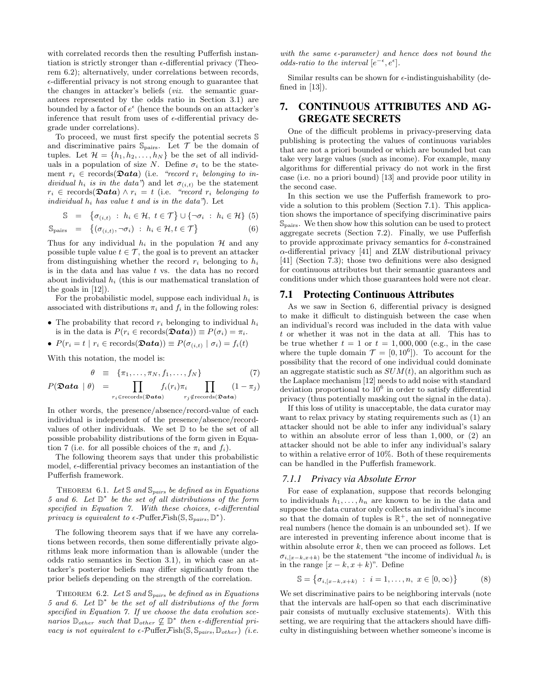with correlated records then the resulting Pufferfish instantiation is strictly stronger than  $\epsilon$ -differential privacy (Theorem [6.2\)](#page-5-2); alternatively, under correlations between records,  $\epsilon$ -differential privacy is not strong enough to guarantee that the changes in attacker's beliefs (viz. the semantic guarantees represented by the odds ratio in Section [3.1\)](#page-2-6) are bounded by a factor of  $e^{\epsilon}$  (hence the bounds on an attacker's inference that result from uses of  $\epsilon$ -differential privacy degrade under correlations).

To proceed, we must first specify the potential secrets S and discriminative pairs  $\mathbb{S}_{\text{pairs}}$ . Let  $\mathcal T$  be the domain of tuples. Let  $\mathcal{H} = \{h_1, h_2, \ldots, h_N\}$  be the set of all individuals in a population of size N. Define  $\sigma_i$  to be the statement  $r_i \in \text{records}(\mathbf{\mathfrak{Data}})$  (i.e. "record  $r_i$  belonging to individual h<sub>i</sub> is in the data") and let  $\sigma_{(i,t)}$  be the statement  $r_i \in \text{records}(\mathbf{\mathfrak{Data}}) \land r_i = t$  (i.e. "record  $r_i$  belonging to individual  $h_i$  has value t and is in the data"). Let

<span id="page-5-4"></span>
$$
\mathbb{S} = \{ \sigma_{(i,t)} : h_i \in \mathcal{H}, t \in \mathcal{T} \} \cup \{ \neg \sigma_i : h_i \in \mathcal{H} \} (5)
$$

$$
\mathbb{S}_{\text{pairs}} = \{ (\sigma_{(i,t)}, \neg \sigma_i) : h_i \in \mathcal{H}, t \in \mathcal{T} \}
$$
 (6)

Thus for any individual  $h_i$  in the population  $H$  and any possible tuple value  $t \in \mathcal{T}$ , the goal is to prevent an attacker from distinguishing whether the record  $r_i$  belonging to  $h_i$ is in the data and has value  $t$  vs. the data has no record about individual  $h_i$  (this is our mathematical translation of the goals in [\[12\]](#page-11-6)).

For the probabilistic model, suppose each individual  $h_i$  is associated with distributions  $\pi_i$  and  $f_i$  in the following roles:

- The probability that record  $r_i$  belonging to individual  $h_i$ is in the data is  $P(r_i \in \text{records}(\mathcal{D}ata)) \equiv P(\sigma_i) = \pi_i$ .
- $P(r_i = t \mid r_i \in \text{records}(\mathbf{\mathfrak{Data}})) \equiv P(\sigma_{(i,t)} \mid \sigma_i) = f_i(t)$

With this notation, the model is:

<span id="page-5-3"></span>
$$
\theta \equiv \{\pi_1, \ldots, \pi_N, f_1, \ldots, f_N\} \tag{7}
$$

$$
P(\mathbf{\mathfrak{Data}} \mid \theta) = \prod_{r_i \in \text{records}(\mathbf{\mathfrak{Data}})} f_i(r_i) \pi_i \prod_{r_j \notin \text{records}(\mathbf{\mathfrak{Data}})} (1 - \pi_j)
$$

In other words, the presence/absence/record-value of each individual is independent of the presence/absence/recordvalues of other individuals. We set D to be the set of all possible probability distributions of the form given in Equa-tion [7](#page-5-3) (i.e. for all possible choices of the  $\pi_i$  and  $f_i$ ).

The following theorem says that under this probabilistic model,  $\epsilon$ -differential privacy becomes an instantiation of the Pufferfish framework.

<span id="page-5-1"></span>THEOREM 6.1. Let  $\mathbb S$  and  $\mathbb S_{pairs}$  be defined as in Equations [5](#page-5-4) and [6.](#page-5-4) Let  $\mathbb{D}^*$  be the set of all distributions of the form specified in Equation [7.](#page-5-3) With these choices,  $\epsilon$ -differential privacy is equivalent to  $\epsilon$ -PufferFish(S, S<sub>pairs</sub>, D<sup>\*</sup>).

The following theorem says that if we have any correlations between records, then some differentially private algorithms leak more information than is allowable (under the odds ratio semantics in Section [3.1\)](#page-2-6), in which case an attacker's posterior beliefs may differ significantly from the prior beliefs depending on the strength of the correlation.

THEOREM 6.2. Let  $\mathcal S$  and  $\mathcal S_{pairs}$  be defined as in Equations [5](#page-5-4) and [6.](#page-5-4) Let  $\mathbb{D}^*$  be the set of all distributions of the form specified in Equation [7.](#page-5-3) If we choose the data evolution scenarios  $\mathbb{D}_{other}$  such that  $\mathbb{D}_{other} \not\subseteq \mathbb{D}^*$  then  $\epsilon$ -differential privacy is not equivalent to  $\epsilon$ -PufferFish $(\mathbb{S}, \mathbb{S}_{pairs}, \mathbb{D}_{other})$  (i.e.

with the same  $\epsilon$ -parameter) and hence does not bound the odds-ratio to the interval  $[e^{-\epsilon}, e^{\epsilon}]$ .

Similar results can be shown for  $\epsilon$ -indistinguishability (defined in [\[13\]](#page-11-19)).

# <span id="page-5-0"></span>7. CONTINUOUS ATTRIBUTES AND AG-GREGATE SECRETS

One of the difficult problems in privacy-preserving data publishing is protecting the values of continuous variables that are not a priori bounded or which are bounded but can take very large values (such as income). For example, many algorithms for differential privacy do not work in the first case (i.e. no a priori bound) [\[13\]](#page-11-19) and provide poor utility in the second case.

In this section we use the Pufferfish framework to provide a solution to this problem (Section [7.1\)](#page-5-5). This application shows the importance of specifying discriminative pairs Spairs. We then show how this solution can be used to protect aggregate secrets (Section [7.2\)](#page-6-1). Finally, we use Pufferfish to provide approximate privacy semantics for  $\delta$ -constrained  $\alpha$ -differential privacy [\[41\]](#page-11-17) and ZLW distributional privacy [\[41\]](#page-11-17) (Section [7.3\)](#page-6-0); those two definitions were also designed for continuous attributes but their semantic guarantees and conditions under which those guarantees hold were not clear.

#### <span id="page-5-5"></span>7.1 Protecting Continuous Attributes

As we saw in Section [6,](#page-4-1) differential privacy is designed to make it difficult to distinguish between the case when an individual's record was included in the data with value t or whether it was not in the data at all. This has to be true whether  $t = 1$  or  $t = 1,000,000$  (e.g., in the case where the tuple domain  $\mathcal{T} = [0, 10^6]$ . To account for the possibility that the record of one individual could dominate an aggregate statistic such as  $SUM(t)$ , an algorithm such as the Laplace mechanism [\[12\]](#page-11-6) needs to add noise with standard deviation proportional to  $10^6$  in order to satisfy differential privacy (thus potentially masking out the signal in the data).

If this loss of utility is unacceptable, the data curator may want to relax privacy by stating requirements such as (1) an attacker should not be able to infer any individual's salary to within an absolute error of less than 1, 000, or (2) an attacker should not be able to infer any individual's salary to within a relative error of 10%. Both of these requirements can be handled in the Pufferfish framework.

#### <span id="page-5-7"></span>*7.1.1 Privacy via Absolute Error*

For ease of explanation, suppose that records belonging to individuals  $h_1, \ldots, h_n$  are known to be in the data and suppose the data curator only collects an individual's income so that the domain of tuples is  $\mathbb{R}^+$ , the set of nonnegative real numbers (hence the domain is an unbounded set). If we are interested in preventing inference about income that is within absolute error  $k$ , then we can proceed as follows. Let  $\sigma_{i,[x-k,x+k)}$  be the statement "the income of individual  $h_i$  is in the range  $[x - k, x + k]$ ". Define

<span id="page-5-6"></span>
$$
\mathbb{S} = \{ \sigma_{i, [x-k, x+k)} : i = 1, \dots, n, x \in [0, \infty) \}
$$
 (8)

<span id="page-5-2"></span>We set discriminative pairs to be neighboring intervals (note that the intervals are half-open so that each discriminative pair consists of mutually exclusive statements). With this setting, we are requiring that the attackers should have difficulty in distinguishing between whether someone's income is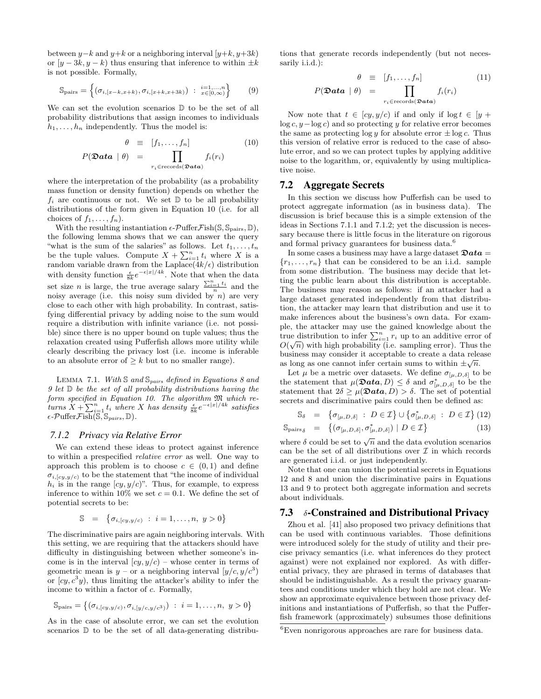between  $y-k$  and  $y+k$  or a neighboring interval  $[y+k, y+3k]$ or  $[y - 3k, y - k]$  thus ensuring that inference to within  $\pm k$ is not possible. Formally,

<span id="page-6-3"></span>
$$
\mathbb{S}_{\text{pairs}} = \left\{ (\sigma_{i,[x-k,x+k)}, \sigma_{i,[x+k,x+3k)}) \; : \; \substack{i=1,\dots,n \\ x \in [0,\infty)} \right\} \tag{9}
$$

We can set the evolution scenarios  $\mathbb D$  to be the set of all probability distributions that assign incomes to individuals  $h_1, \ldots, h_n$  independently. Thus the model is:

<span id="page-6-2"></span>
$$
\theta \equiv [f_1, \dots, f_n] \qquad (10)
$$

$$
P(\mathbf{\mathfrak{Data}} \mid \theta) = \prod_{r_i \in \text{records}(\mathbf{\mathfrak{Data}})} f_i(r_i)
$$

where the interpretation of the probability (as a probability mass function or density function) depends on whether the  $f_i$  are continuous or not. We set  $\mathbb D$  to be all probability distributions of the form given in Equation [10](#page-6-2) (i.e. for all choices of  $f_1, \ldots, f_n$ ).

With the resulting instantiation  $\epsilon$ -PufferFish(S, S<sub>pairs</sub>, D), the following lemma shows that we can answer the query "what is the sum of the salaries" as follows. Let  $t_1, \ldots, t_n$ be the tuple values. Compute  $X + \sum_{i=1}^{n} t_i$  where X is a random variable drawn from the Laplace $(4k/\epsilon)$  distribution with density function  $\frac{\epsilon}{8k}e^{-\epsilon|x|/4k}$ . Note that when the data set size *n* is large, the true average salary  $\frac{\sum_{i=1}^{n} t_i}{n}$  and the noisy average (i.e. this noisy sum divided by  $n$ ) are very close to each other with high probability. In contrast, satisfying differential privacy by adding noise to the sum would require a distribution with infinite variance (i.e. not possible) since there is no upper bound on tuple values; thus the relaxation created using Pufferfish allows more utility while clearly describing the privacy lost (i.e. income is inferable to an absolute error of  $\geq k$  but to no smaller range).

LEMMA 7.1. With  $\mathbb S$  and  $\mathbb S_{pairs}$  defined in Equations [8](#page-5-6) and  $9$  let  $D$  be the set of all probability distributions having the form specified in Equation [10.](#page-6-2) The algorithm  $\mathfrak M$  which returns  $X + \sum_{i=1}^{n} t_i$  where X has density  $\frac{\epsilon}{8k} e^{-\epsilon |x|/4k}$  satisfies  $\epsilon$ -Puffer Fish( $\overline{\mathbb{S}}, \mathbb{S}_{pairs}, \mathbb{D}$ ).

#### <span id="page-6-4"></span>*7.1.2 Privacy via Relative Error*

We can extend these ideas to protect against inference to within a prespecified relative error as well. One way to approach this problem is to choose  $c \in (0,1)$  and define  $\sigma_{i,[\alpha,\gamma]}$  to be the statement that "the income of individual  $h_i$  is in the range  $[cy, y/c]$ ". Thus, for example, to express inference to within 10% we set  $c = 0.1$ . We define the set of potential secrets to be:

$$
\mathbb{S} = \{ \sigma_{i,[cy,y/c)} : i = 1, \dots, n, y > 0 \}
$$

The discriminative pairs are again neighboring intervals. With this setting, we are requiring that the attackers should have difficulty in distinguishing between whether someone's income is in the interval  $[cy, y/c]$  – whose center in terms of geometric mean is  $y -$  or a neighboring interval  $(y/c, y/c<sup>3</sup>)$ or  $(cy, c<sup>3</sup>y)$ , thus limiting the attacker's ability to infer the income to within a factor of c. Formally,

$$
\mathbb{S}_{\text{pairs}} = \left\{ (\sigma_{i, [cy, y/c)}, \sigma_{i, [y/c, y/c^3)} ) \; : \; i = 1, \dots, n, \; y > 0 \right\}
$$

As in the case of absolute error, we can set the evolution scenarios D to be the set of all data-generating distributions that generate records independently (but not necessarily i.i.d.):

<span id="page-6-7"></span>
$$
\theta \equiv [f_1, \dots, f_n] \qquad (11)
$$
\n
$$
P(\mathbf{\mathfrak{Data}} \mid \theta) = \prod_{r_i \in \text{records}(\mathbf{\mathfrak{Data}})} f_i(r_i)
$$

Now note that  $t \in [cy, y/c)$  if and only if  $\log t \in [y +$  $log c, y - log c$  and so protecting y for relative error becomes the same as protecting  $\log y$  for absolute error  $\pm \log c$ . Thus this version of relative error is reduced to the case of absolute error, and so we can protect tuples by applying additive noise to the logarithm, or, equivalently by using multiplicative noise.

#### <span id="page-6-1"></span>7.2 Aggregate Secrets

In this section we discuss how Pufferfish can be used to protect aggregate information (as in business data). The discussion is brief because this is a simple extension of the ideas in Sections [7.1.1](#page-5-7) and [7.1.2;](#page-6-4) yet the discussion is necessary because there is little focus in the literature on rigorous and formal privacy guarantees for business data.<sup>[6](#page-6-5)</sup>

In some cases a business may have a large dataset  $\mathfrak{D}ata =$  $\{r_1, \ldots, r_n\}$  that can be considered to be an i.i.d. sample from some distribution. The business may decide that letting the public learn about this distribution is acceptable. The business may reason as follows: if an attacker had a large dataset generated independently from that distribution, the attacker may learn that distribution and use it to make inferences about the business's own data. For example, the attacker may use the gained knowledge about the true distribution to infer  $\sum_{i=1}^{n} r_i$  up to an additive error of  $O(\sqrt{n})$  with high probability (i.e. sampling error). Thus the business may consider it acceptable to create a data release as long as one cannot infer certain sums to within  $\pm \sqrt{n}$ .

Let  $\mu$  be a metric over datasets. We define  $\sigma_{[\mu,D,\delta]}$  to be the statement that  $\mu(\mathbf{Data}, D) \leq \delta$  and  $\sigma^*_{\lbrack \mu, D, \delta \rbrack}$  to be the statement that  $2\delta \geq \mu(\mathbf{Data}, D) > \delta$ . The set of potential secrets and discriminative pairs could then be defined as:

<span id="page-6-6"></span>
$$
\mathbb{S}_{\delta} = \{ \sigma_{[\mu, D, \delta]} : D \in \mathcal{I} \} \cup \{ \sigma_{[\mu, D, \delta]}^* : D \in \mathcal{I} \} (12)
$$

$$
\mathbb{S}_{\text{pairs}_{\delta}} = \{ (\sigma_{[\mu, D, \delta]}, \sigma_{[\mu, D, \delta]}^{*}) \mid D \in \mathcal{I} \}
$$
\n(13)

where  $\delta$  could be set to  $\sqrt{n}$  and the data evolution scenarios can be the set of all distributions over  $\mathcal I$  in which records are generated i.i.d. or just independently.

Note that one can union the potential secrets in Equations [12](#page-6-6) and [8](#page-5-6) and union the discriminative pairs in Equations [13](#page-6-6) and [9](#page-6-3) to protect both aggregate information and secrets about individuals.

#### <span id="page-6-0"></span>7.3  $\delta$ -Constrained and Distributional Privacy

Zhou et al. [\[41\]](#page-11-17) also proposed two privacy definitions that can be used with continuous variables. Those definitions were introduced solely for the study of utility and their precise privacy semantics (i.e. what inferences do they protect against) were not explained nor explored. As with differential privacy, they are phrased in terms of databases that should be indistinguishable. As a result the privacy guarantees and conditions under which they hold are not clear. We show an approximate equivalence between those privacy definitions and instantiations of Pufferfish, so that the Pufferfish framework (approximately) subsumes those definitions

<span id="page-6-5"></span> ${}^{6}$ Even nonrigorous approaches are rare for business data.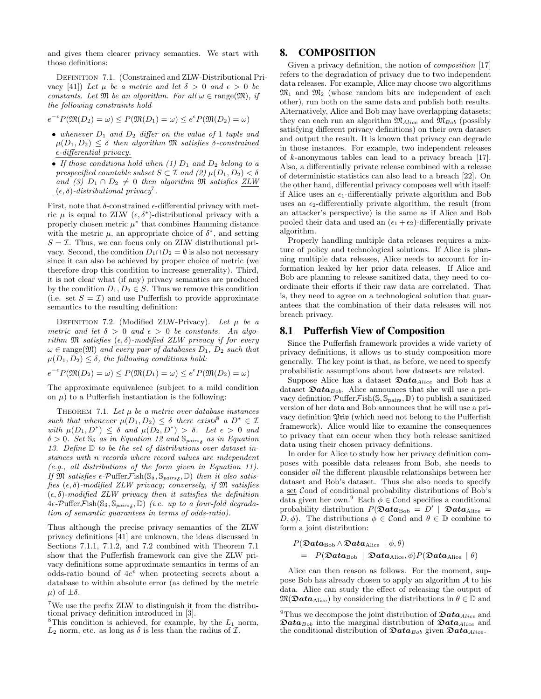and gives them clearer privacy semantics. We start with those definitions:

DEFINITION 7.1. (Constrained and ZLW-Distributional Pri-vacy [\[41\]](#page-11-17)) Let  $\mu$  be a metric and let  $\delta > 0$  and  $\epsilon > 0$  be constants. Let  $\mathfrak{M}$  be an algorithm. For all  $\omega \in \text{range}(\mathfrak{M})$ , if the following constraints hold

$$
e^{-\epsilon}P(\mathfrak{M}(D_2) = \omega) \le P(\mathfrak{M}(D_1) = \omega) \le e^{\epsilon}P(\mathfrak{M}(D_2) = \omega)
$$

- whenever  $D_1$  and  $D_2$  differ on the value of 1 tuple and  $\mu(D_1, D_2) \leq \delta$  then algorithm M satisfies  $\delta$ -constrained  $\epsilon$ -differential privacy.
- If those conditions hold when  $(1)$   $D_1$  and  $D_2$  belong to a prespecified countable subset  $S \subset \mathcal{I}$  and  $(2) \mu(D_1, D_2) < \delta$ and (3)  $D_1 \cap D_2 \neq 0$  then algorithm M satisfies ZLW  $(\epsilon, \delta)$ -distributional privacy<sup>[7](#page-7-1)</sup>.

First, note that  $\delta$ -constrained  $\epsilon$ -differential privacy with metric  $\mu$  is equal to ZLW  $(\epsilon, \delta^*)$ -distributional privacy with a properly chosen metric  $\mu^*$  that combines Hamming distance with the metric  $\mu$ , an appropriate choice of  $\delta^*$ , and setting  $S = \mathcal{I}$ . Thus, we can focus only on ZLW distributional privacy. Second, the condition  $D_1 \cap D_2 = \emptyset$  is also not necessary since it can also be achieved by proper choice of metric (we therefore drop this condition to increase generality). Third, it is not clear what (if any) privacy semantics are produced by the condition  $D_1, D_2 \in S$ . Thus we remove this condition (i.e. set  $S = \mathcal{I}$ ) and use Pufferfish to provide approximate semantics to the resulting definition:

DEFINITION 7.2. (Modified ZLW-Privacy). Let  $\mu$  be a metric and let  $\delta > 0$  and  $\epsilon > 0$  be constants. An algorithm  $\mathfrak M$  satisfies  $(\epsilon, \delta)$ -modified ZLW privacy if for every  $\omega \in \text{range}(\mathfrak{M})$  and every pair of databases  $D_1$ ,  $D_2$  such that  $\mu(D_1, D_2) \leq \delta$ , the following conditions hold:

$$
e^{-\epsilon}P(\mathfrak{M}(D_2) = \omega) \le P(\mathfrak{M}(D_1) = \omega) \le e^{\epsilon}P(\mathfrak{M}(D_2) = \omega)
$$

The approximate equivalence (subject to a mild condition on  $\mu$ ) to a Pufferfish instantiation is the following:

THEOREM 7.1. Let  $\mu$  be a metric over database instances such that whenever  $\mu(D_1, D_2) \leq \delta$  there exists a  $D^* \in \mathcal{I}$ with  $\mu(D_1, D^*) \leq \delta$  and  $\mu(D_2, D^*) > \delta$ . Let  $\epsilon > 0$  and  $\delta > 0$ . Set  $\mathbb{S}_{\delta}$  as in Equation [12](#page-6-6) and  $\mathbb{S}_{pairs_{\delta}}$  as in Equation [13.](#page-6-6) Define  $D$  to be the set of distributions over dataset instances with n records where record values are independent (e.g., all distributions of the form given in Equation [11\)](#page-6-7). If  $\overline{\mathfrak{M}}$  satisfies  $\epsilon$ -Puffer Fish $(\mathbb{S}_{\delta}, \mathbb{S}_{pairs_{\delta}}, \mathbb{D})$  then it also satisfies  $(\epsilon, \delta)$ -modified ZLW privacy; conversely, if  $\mathfrak{M}$  satisfies  $(\epsilon, \delta)$ -modified ZLW privacy then it satisfies the definition  $4\epsilon\text{-}\mathcal{P}$ uffer $\mathcal{F}$ ish $(\mathbb{S}_{\delta}, \mathbb{S}_{pairs_{\delta}}, \mathbb{D})$  (i.e. up to a four-fold degradation of semantic guarantees in terms of odds-ratio).

Thus although the precise privacy semantics of the ZLW privacy definitions [\[41\]](#page-11-17) are unknown, the ideas discussed in Sections [7.1.1,](#page-5-7) [7.1.2,](#page-6-4) and [7.2](#page-6-1) combined with Theorem [7.1](#page-7-3) show that the Pufferfish framework can give the ZLW privacy definitions some approximate semantics in terms of an odds-ratio bound of 4e when protecting secrets about a database to within absolute error (as defined by the metric  $\mu$ ) of  $\pm \delta$ .

# <span id="page-7-0"></span>8. COMPOSITION

Given a privacy definition, the notion of *composition* [\[17\]](#page-11-7) refers to the degradation of privacy due to two independent data releases. For example, Alice may choose two algorithms  $\mathfrak{M}_1$  and  $\mathfrak{M}_2$  (whose random bits are independent of each other), run both on the same data and publish both results. Alternatively, Alice and Bob may have overlapping datasets; they can each run an algorithm  $\mathfrak{M}_{Alice}$  and  $\mathfrak{M}_{Bob}$  (possibly satisfying different privacy definitions) on their own dataset and output the result. It is known that privacy can degrade in those instances. For example, two independent releases of k-anonymous tables can lead to a privacy breach [\[17\]](#page-11-7). Also, a differentially private release combined with a release of deterministic statistics can also lead to a breach [\[22\]](#page-11-4). On the other hand, differential privacy composes well with itself: if Alice uses an  $\epsilon_1$ -differentially private algorithm and Bob uses an  $\epsilon_2$ -differentially private algorithm, the result (from an attacker's perspective) is the same as if Alice and Bob pooled their data and used an  $(\epsilon_1 + \epsilon_2)$ -differentially private algorithm.

Properly handling multiple data releases requires a mixture of policy and technological solutions. If Alice is planning multiple data releases, Alice needs to account for information leaked by her prior data releases. If Alice and Bob are planning to release sanitized data, they need to coordinate their efforts if their raw data are correlated. That is, they need to agree on a technological solution that guarantees that the combination of their data releases will not breach privacy.

# 8.1 Pufferfish View of Composition

Since the Pufferfish framework provides a wide variety of privacy definitions, it allows us to study composition more generally. The key point is that, as before, we need to specify probabilistic assumptions about how datasets are related.

<span id="page-7-3"></span>Suppose Alice has a dataset  $\mathfrak{D}ata_{Alice}$  and Bob has a dataset  $\mathfrak{D}ata_{Bob}$ . Alice announces that she will use a privacy definition  $\mathcal{P}\text{uffer}\mathcal{F}\text{ish}(\mathbb{S},\mathbb{S}_{\text{pairs}},\mathbb{D})$  to publish a sanitized version of her data and Bob announces that he will use a privacy definition  $\mathfrak{P}\mathfrak{r}$  is (which need not belong to the Pufferfish framework). Alice would like to examine the consequences to privacy that can occur when they both release sanitized data using their chosen privacy definitions.

In order for Alice to study how her privacy definition composes with possible data releases from Bob, she needs to consider all the different plausible relationships between her dataset and Bob's dataset. Thus she also needs to specify a set Cond of conditional probability distributions of Bob's data given her own.<sup>[9](#page-7-4)</sup> Each  $\phi \in \mathcal{C}$  ond specifies a conditional probability distribution  $P(\mathfrak{D}ata_{\text{Bob}} = D' | \mathfrak{D}ata_{\text{Alice}} =$ D,  $\phi$ ). The distributions  $\phi \in \mathcal{C}$  and  $\theta \in \mathbb{D}$  combine to form a joint distribution:

$$
P(\mathfrak{D}ata_{\text{Bob}} \wedge \mathfrak{D}ata_{\text{Alice}} \mid \phi, \theta) = P(\mathfrak{D}ata_{\text{Bob}} \mid \mathfrak{D}ata_{\text{Alice}}, \phi)P(\mathfrak{D}ata_{\text{Alice}} \mid \theta)
$$

Alice can then reason as follows. For the moment, suppose Bob has already chosen to apply an algorithm A to his data. Alice can study the effect of releasing the output of  $\mathfrak{M}(\mathfrak{D}ata_{\text{Alice}})$  by considering the distributions in  $\theta \in \mathbb{D}$  and

<span id="page-7-1"></span><sup>7</sup>We use the prefix ZLW to distinguish it from the distributional privacy definition introduced in [\[3\]](#page-11-14).

<span id="page-7-2"></span><sup>&</sup>lt;sup>8</sup>This condition is achieved, for example, by the  $L_1$  norm,  $L_2$  norm, etc. as long as  $\delta$  is less than the radius of  $\mathcal{I}$ .

<span id="page-7-4"></span><sup>&</sup>lt;sup>9</sup>Thus we decompose the joint distribution of  $\mathfrak{D}ata_{Alice}$  and  $\mathfrak{D}ata_{Bob}$  into the marginal distribution of  $\mathfrak{D}ata_{Alice}$  and the conditional distribution of  $\mathfrak{D}ata_{Bob}$  given  $\mathfrak{D}ata_{Alice}$ .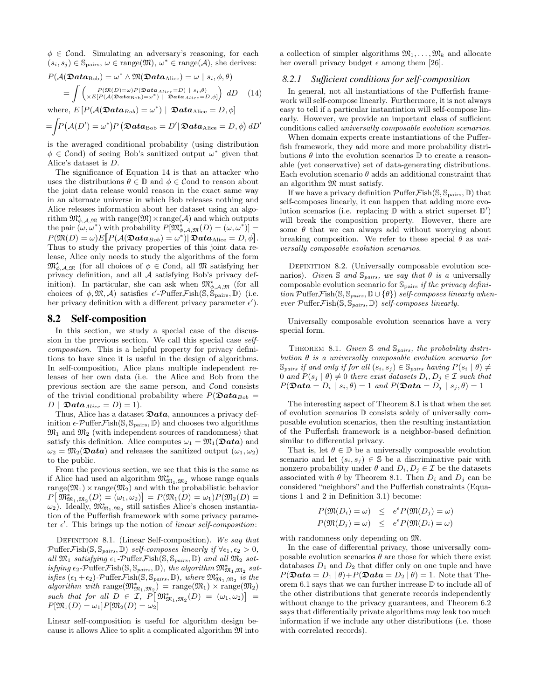$\phi \in \mathcal{C}$  ond. Simulating an adversary's reasoning, for each  $(s_i, s_j) \in \mathbb{S}_{\text{pairs}}, \omega \in \text{range}(\mathfrak{M}), \omega^* \in \text{range}(\mathcal{A}), \text{ she derives:}$ 

<span id="page-8-0"></span>
$$
P(\mathcal{A}(\mathfrak{Data}_{Bob}) = \omega^* \wedge \mathfrak{M}(\mathfrak{Data}_{Alice}) = \omega \mid s_i, \phi, \theta)
$$
  
= 
$$
\int \begin{pmatrix} P(\mathfrak{M}(D) = \omega) P(\mathfrak{Data}_{Alice} = D) \mid s_i, \theta) \\ \times E[P(\mathcal{A}(\mathfrak{Data}_{Bob}) = \omega^*) \mid \mathfrak{Data}_{Alice} = D, \phi] \end{pmatrix} dD \quad (14)
$$

where,  $E[P(A(\mathfrak{Data}_{Bob}) = \omega^*) | \mathfrak{Data}_{Alice} = D, \phi]$ 

$$
= \int P\big(\mathcal{A}(D') = \omega^*\big) P\left(\mathfrak{D}ata_{\text{Bob}} = D'\vert \mathfrak{D}ata_{\text{Alice}} = D, \phi\right) dD'
$$

is the averaged conditional probability (using distribution  $\phi \in \mathcal{C}$  ond) of seeing Bob's sanitized output  $\omega^*$  given that Alice's dataset is D.

The significance of Equation [14](#page-8-0) is that an attacker who uses the distributions  $\theta \in \mathbb{D}$  and  $\phi \in \mathcal{C}$  ond to reason about the joint data release would reason in the exact same way in an alternate universe in which Bob releases nothing and Alice releases information about her dataset using an algorithm  $\mathfrak{M}^{\star}_{\phi,A,\mathfrak{M}}$  with range $(\mathfrak{M})\times \text{range}(\mathcal{A})$  and which outputs the pair  $(\omega, \omega^*)$  with probability  $P[\mathfrak{M}^\star_{\phi, \mathcal{A}, \mathfrak{M}}(D) = (\omega, \omega^*)] =$  $P(\mathfrak{M}(D) = \omega) E\big[P(\mathcal{A}(\mathfrak{Data}_{Bob}) = \omega^*) \vert \mathfrak{Data}_{\mathrm{Alice}} = D, \phi\big].$ Thus to study the privacy properties of this joint data release, Alice only needs to study the algorithms of the form  $\mathfrak{M}_{\phi,A,\mathfrak{M}}^{\star}$  (for all choices of  $\phi \in \mathcal{C}$  ond, all  $\mathfrak{M}$  satisfying her privacy definition, and all A satisfying Bob's privacy definition). In particular, she can ask when  $\mathfrak{M}^{\star}_{\phi,A,\mathfrak{M}}$  (for all choices of  $\phi$ ,  $\mathfrak{M}, \mathcal{A}$ ) satisfies  $\epsilon'$ -Puffer Fish( $\mathfrak{S}, \mathfrak{S}_{\text{pairs}}$ ,  $\mathbb{D}$ ) (i.e. her privacy definition with a different privacy parameter  $\epsilon'$ ).

# 8.2 Self-composition

In this section, we study a special case of the discussion in the previous section. We call this special case selfcomposition. This is a helpful property for privacy definitions to have since it is useful in the design of algorithms. In self-composition, Alice plans multiple independent releases of her own data (i.e. the Alice and Bob from the previous section are the same person, and Cond consists of the trivial conditional probability where  $P(\mathfrak{Data}_{Bob} =$  $D | \mathfrak{Data}_{Alice} = D) = 1$ .

Thus, Alice has a dataset  $\mathfrak{D}ata$ , announces a privacy definition  $\epsilon$ -PufferFish(S, S<sub>pairs</sub>, D) and chooses two algorithms  $\mathfrak{M}_1$  and  $\mathfrak{M}_2$  (with independent sources of randomness) that satisfy this definition. Alice computes  $\omega_1 = \mathfrak{M}_1(\mathfrak{D}ata)$  and  $\omega_2 = \mathfrak{M}_2(\mathfrak{D}ata)$  and releases the sanitized output  $(\omega_1, \omega_2)$ to the public.

From the previous section, we see that this is the same as if Alice had used an algorithm  $\mathfrak{M}^*_{\mathfrak{M}_1,\mathfrak{M}_2}$  whose range equals  $\mathrm{range}(\mathfrak{M}_1)\times\mathrm{range}(\mathfrak{M}_2)$  and with the probabilistic behavior  $P[\mathfrak{M}^*_{\mathfrak{M}_1,\mathfrak{M}_2}(D) = (\omega_1,\omega_2)] = P(\mathfrak{M}_1(D) = \omega_1)P(\mathfrak{M}_2(D) =$  $\omega_2$ ). Ideally,  $\mathfrak{M}^*_{\mathfrak{M}_1,\mathfrak{M}_2}$  still satisfies Alice's chosen instantiation of the Pufferfish framework with some privacy parameter  $\epsilon'$ . This brings up the notion of linear self-composition:

DEFINITION 8.1. (Linear Self-composition). We say that  $\mathcal{P}\text{uffer}\mathcal{F}\text{ish}(\mathbb{S}, \mathbb{S}_{pairs}, \mathbb{D})$  self-composes linearly if  $\forall \epsilon_1, \epsilon_2 > 0$ , all  $\mathfrak{M}_1$  satisfying  $\epsilon_1$ -PufferFish(S, S<sub>pairs</sub>, D) and all  $\mathfrak{M}_2$  satisfying  $\epsilon_2$ -PufferFish(S, S<sub>pairs</sub>, D), the algorithm  $\mathfrak{M}^*_{\mathfrak{M}_1,\mathfrak{M}_2}$  satisfies  $(\epsilon_1 + \epsilon_2)$ -PufferFish(S, S<sub>pairs</sub>, D), where  $\mathfrak{M}^*_{\mathfrak{M}_1, \mathfrak{M}_2}$  is the  $algorithm \ with \ range(\mathfrak{M}_{\mathfrak{M}_1,\mathfrak{M}_2}) = range(\mathfrak{M}_1) \times range(\mathfrak{M}_2)$ such that for all  $D \in \mathcal{I}, P \big[ \mathfrak{M}^*_{\mathfrak{M}_1, \mathfrak{M}_2}(D) = (\omega_1, \omega_2) \big] =$  $P[\mathfrak{M}_1(D) = \omega_1] P[\mathfrak{M}_2(D) = \omega_2]$ 

Linear self-composition is useful for algorithm design because it allows Alice to split a complicated algorithm  $\mathfrak{M}$  into a collection of simpler algorithms  $\mathfrak{M}_1, \ldots, \mathfrak{M}_k$  and allocate her overall privacy budget  $\epsilon$  among them [\[26\]](#page-11-37).

#### *8.2.1 Sufficient conditions for self-composition*

In general, not all instantiations of the Pufferfish framework will self-compose linearly. Furthermore, it is not always easy to tell if a particular instantiation will self-compose linearly. However, we provide an important class of sufficient conditions called universally composable evolution scenarios.

When domain experts create instantiations of the Pufferfish framework, they add more and more probability distributions  $\theta$  into the evolution scenarios  $\mathbb D$  to create a reasonable (yet conservative) set of data-generating distributions. Each evolution scenario  $\theta$  adds an additional constraint that an algorithm  $\mathfrak{M}$  must satisfy.

If we have a privacy definition  $\mathcal{P}\text{uffer}\mathcal{F}\text{ish}(\mathbb{S},\mathbb{S}_{\text{pairs}},\mathbb{D})$  that self-composes linearly, it can happen that adding more evolution scenarios (i.e. replacing  $\mathbb D$  with a strict superset  $\mathbb D'$ ) will break the composition property. However, there are some  $\theta$  that we can always add without worrying about breaking composition. We refer to these special  $\theta$  as universally composable evolution scenarios.

DEFINITION 8.2. (Universally composable evolution scenarios). Given S and S<sub>pairs</sub>, we say that  $\theta$  is a universally composable evolution scenario for  $\mathbb{S}_{\text{pairs}}$  if the privacy definition Puffer Fish( $\mathcal{S}, \mathcal{S}_{pairs}, \mathbb{D} \cup \{\theta\}$ ) self-composes linearly whenever  $\mathcal{P} \text{uffer}\mathcal{F} \text{ish}(\mathbb{S}, \mathbb{S}_{pairs}, \mathbb{D})$  self-composes linearly.

Universally composable evolution scenarios have a very special form.

<span id="page-8-1"></span>THEOREM 8.1. Given  $\mathbb S$  and  $\mathbb S_{pairs}$ , the probability distribution  $\theta$  is a universally composable evolution scenario for  $\mathcal{S}_{pairs}$  if and only if for all  $(s_i, s_j) \in \mathcal{S}_{pairs}$  having  $P(s_i | \theta) \neq$ 0 and  $P(s_j | \theta) \neq 0$  there exist datasets  $D_i, D_j \in \mathcal{I}$  such that  $P(\mathfrak{Data} = D_i \mid s_i, \theta) = 1$  and  $P(\mathfrak{Data} = D_j \mid s_j, \theta) = 1$ 

The interesting aspect of Theorem [8.1](#page-8-1) is that when the set of evolution scenarios D consists solely of universally composable evolution scenarios, then the resulting instantiation of the Pufferfish framework is a neighbor-based definition similar to differential privacy.

That is, let  $\theta \in \mathbb{D}$  be a universally composable evolution scenario and let  $(s_i, s_j) \in \mathbb{S}$  be a discriminative pair with nonzero probability under  $\theta$  and  $D_i, D_j \in \mathcal{I}$  be the datasets associated with  $\theta$  by Theorem [8.1.](#page-8-1) Then  $D_i$  and  $D_j$  can be considered "neighbors" and the Pufferfish constraints (Equations [1](#page-2-4) and [2](#page-2-4) in Definition [3.1\)](#page-2-0) become:

$$
P(\mathfrak{M}(D_i) = \omega) \le e^{\epsilon} P(\mathfrak{M}(D_j) = \omega)
$$
  

$$
P(\mathfrak{M}(D_j) = \omega) \le e^{\epsilon} P(\mathfrak{M}(D_i) = \omega)
$$

with randomness only depending on M.

In the case of differential privacy, those universally composable evolution scenarios  $\theta$  are those for which there exist databases  $D_1$  and  $D_2$  that differ only on one tuple and have  $P(\mathfrak{Data} = D_1 | \theta) + P(\mathfrak{Data} = D_2 | \theta) = 1.$  Note that Theorem [6.1](#page-5-1) says that we can further increase D to include all of the other distributions that generate records independently without change to the privacy guarantees, and Theorem [6.2](#page-5-2) says that differentially private algorithms may leak too much information if we include any other distributions (i.e. those with correlated records).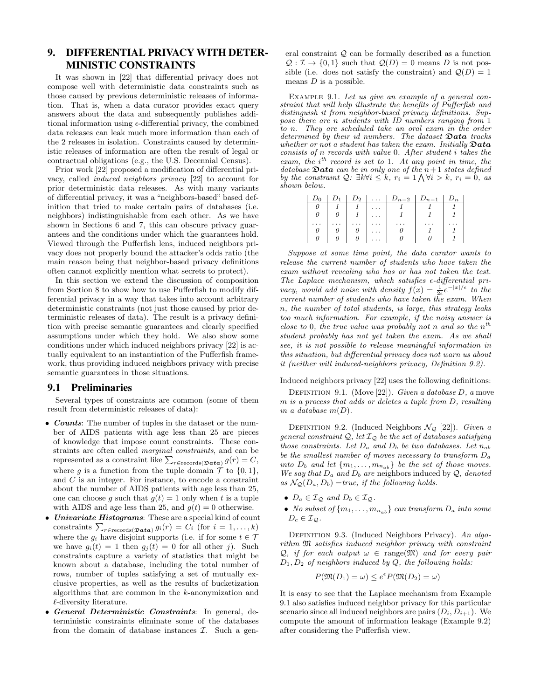# <span id="page-9-0"></span>9. DIFFERENTIAL PRIVACY WITH DETER-MINISTIC CONSTRAINTS

It was shown in [\[22\]](#page-11-4) that differential privacy does not compose well with deterministic data constraints such as those caused by previous deterministic releases of information. That is, when a data curator provides exact query answers about the data and subsequently publishes additional information using  $\epsilon$ -differential privacy, the combined data releases can leak much more information than each of the 2 releases in isolation. Constraints caused by deterministic releases of information are often the result of legal or contractual obligations (e.g., the U.S. Decennial Census).

Prior work [\[22\]](#page-11-4) proposed a modification of differential privacy, called induced neighbors privacy [\[22\]](#page-11-4) to account for prior deterministic data releases. As with many variants of differential privacy, it was a "neighbors-based" based definition that tried to make certain pairs of databases (i.e. neighbors) indistinguishable from each other. As we have shown in Sections [6](#page-4-1) and [7,](#page-5-0) this can obscure privacy guarantees and the conditions under which the guarantees hold. Viewed through the Pufferfish lens, induced neighbors privacy does not properly bound the attacker's odds ratio (the main reason being that neighbor-based privacy definitions often cannot explicitly mention what secrets to protect).

In this section we extend the discussion of composition from Section [8](#page-7-0) to show how to use Pufferfish to modify differential privacy in a way that takes into account arbitrary deterministic constraints (not just those caused by prior deterministic releases of data). The result is a privacy definition with precise semantic guarantees and clearly specified assumptions under which they hold. We also show some conditions under which induced neighbors privacy [\[22\]](#page-11-4) is actually equivalent to an instantiation of the Pufferfish framework, thus providing induced neighbors privacy with precise semantic guarantees in those situations.

# <span id="page-9-3"></span>9.1 Preliminaries

Several types of constraints are common (some of them result from deterministic releases of data):

- Counts: The number of tuples in the dataset or the number of AIDS patients with age less than 25 are pieces of knowledge that impose count constraints. These constraints are often called marginal constraints, and can be represented as a constraint like  $\sum_{r \in \text{records}(\mathfrak{D} \mathbf{ata})} g(r) = C$ , where q is a function from the tuple domain  $\mathcal T$  to  $\{0,1\}$ , and C is an integer. For instance, to encode a constraint about the number of AIDS patients with age less than 25, one can choose g such that  $g(t) = 1$  only when t is a tuple with AIDS and age less than 25, and  $g(t) = 0$  otherwise.
- Univariate Histograms: These are a special kind of count constraints  $\sum_{r \in \text{records}(\mathfrak{D} \mathbf{ata})} g_i(r) = C_i$  (for  $i = 1, ..., k$ ) where the  $g_i$  have disjoint supports (i.e. if for some  $t \in \mathcal{T}$ we have  $g_i(t) = 1$  then  $g_j(t) = 0$  for all other j). Such constraints capture a variety of statistics that might be known about a database, including the total number of rows, number of tuples satisfying a set of mutually exclusive properties, as well as the results of bucketization algorithms that are common in the k-anonymization and  $\ell$ -diversity literature.
- General Deterministic Constraints: In general, deterministic constraints eliminate some of the databases from the domain of database instances  $\mathcal{I}$ . Such a gen-

eral constraint Q can be formally described as a function  $\mathcal{Q}: \mathcal{I} \to \{0,1\}$  such that  $\mathcal{Q}(D) = 0$  means D is not possible (i.e. does not satisfy the constraint) and  $Q(D) = 1$ means  $D$  is a possible.

<span id="page-9-2"></span>EXAMPLE 9.1. Let us give an example of a general constraint that will help illustrate the benefits of Pufferfish and distinguish it from neighbor-based privacy definitions. Suppose there are n students with ID numbers ranging from 1 to n. They are scheduled take an oral exam in the order determined by their id numbers. The dataset  $\mathfrak{Data}$  tracks whether or not a student has taken the exam. Initially  $\mathfrak{D}ata$  $consists$  of n records with value 0. After student  $i$  takes the exam, the  $i^{th}$  record is set to 1. At any point in time, the database  $\mathfrak{Data}$  can be in only one of the  $n+1$  states defined by the constraint  $Q: \exists k \forall i \leq k, r_i = 1 \bigwedge \forall i > k, r_i = 0, \text{ as }$ shown below.

|  | $D_2$ | $\vert \ldots \vert D_{n-2} \vert$ | $ D_{n-1} $ |  |
|--|-------|------------------------------------|-------------|--|
|  |       |                                    |             |  |
|  |       |                                    |             |  |
|  |       |                                    |             |  |
|  |       |                                    |             |  |
|  |       |                                    |             |  |

Suppose at some time point, the data curator wants to release the current number of students who have taken the exam without revealing who has or has not taken the test. The Laplace mechanism, which satisfies  $\epsilon$ -differential privacy, would add noise with density  $f(x) = \frac{1}{2\epsilon}e^{-|x|/\epsilon}$  to the current number of students who have taken the exam. When n, the number of total students, is large, this strategy leaks too much information. For example, if the noisy answer is close to 0, the true value was probably not n and so the  $n^{th}$ student probably has not yet taken the exam. As we shall see, it is not possible to release meaningful information in this situation, but differential privacy does not warn us about it (neither will induced-neighbors privacy, Definition [9.2\)](#page-9-1).

Induced neighbors privacy [\[22\]](#page-11-4) uses the following definitions:

DEFINITION 9.1. (Move [\[22\]](#page-11-4)). Given a database  $D$ , a move m is a process that adds or deletes a tuple from D, resulting in a database  $m(D)$ .

<span id="page-9-1"></span>DEFINITION 9.2. (Induced Neighbors  $\mathcal{N}_{\mathcal{Q}}$  [\[22\]](#page-11-4)). Given a general constraint  $\mathcal{Q}$ , let  $\mathcal{I}_{\mathcal{Q}}$  be the set of databases satisfying those constraints. Let  $D_a$  and  $D_b$  be two databases. Let  $n_{ab}$ be the smallest number of moves necessary to transform  $D_a$ into  $D_b$  and let  $\{m_1, \ldots, m_{n_{ab}}\}$  be the set of those moves. We say that  $D_a$  and  $D_b$  are neighbors induced by  $Q$ , denoted as  $\mathcal{N}_{\mathcal{Q}}(D_a, D_b)$  =true, if the following holds.

- $D_a \in \mathcal{I}_{\mathcal{Q}}$  and  $D_b \in \mathcal{I}_{\mathcal{Q}}$ .
- No subset of  ${m_1, \ldots, m_{n_{ab}}}$  can transform  $D_a$  into some  $D_c \in \mathcal{I}_{\mathcal{Q}}$ .

DEFINITION 9.3. (Induced Neighbors Privacy). An algorithm M satisfies induced neighbor privacy with constraint  $Q$ , if for each output  $\omega \in \text{range}(\mathfrak{M})$  and for every pair  $D_1, D_2$  of neighbors induced by  $Q$ , the following holds:

$$
P(\mathfrak{M}(D_1) = \omega) \le e^{\epsilon} P(\mathfrak{M}(D_2) = \omega)
$$

It is easy to see that the Laplace mechanism from Example [9.1](#page-9-2) also satisfies induced neighbor privacy for this particular scenario since all induced neighbors are pairs  $(D_i, D_{i+1})$ . We compute the amount of information leakage (Example [9.2\)](#page-10-0) after considering the Pufferfish view.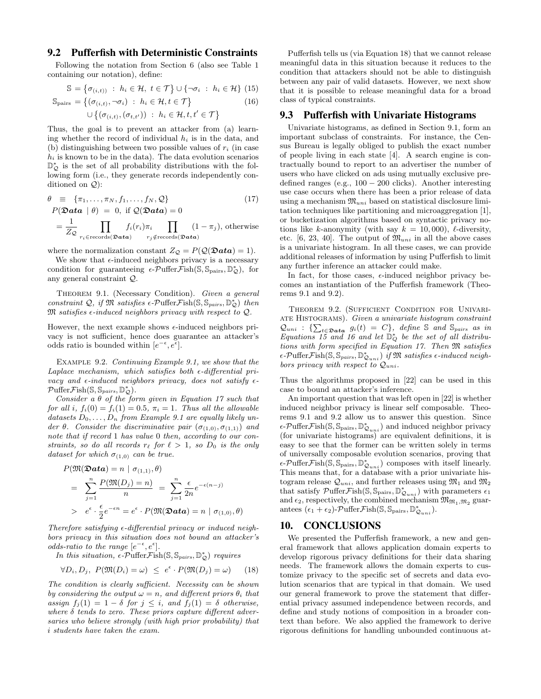# 9.2 Pufferfish with Deterministic Constraints

Following the notation from Section [6](#page-4-1) (also see Table [1](#page-1-3) containing our notation), define:

<span id="page-10-5"></span>
$$
\mathbb{S} = \left\{ \sigma_{(i,t)} \; : \; h_i \in \mathcal{H}, \; t \in \mathcal{T} \right\} \cup \left\{ \neg \sigma_i \; : \; h_i \in \mathcal{H} \right\} \tag{15}
$$

$$
\mathbb{S}_{\text{pairs}} = \left\{ (\sigma_{(i,t)}, \neg \sigma_i) \; : \; h_i \in \mathcal{H}, t \in \mathcal{T} \right\} \tag{16}
$$

$$
\cup \big\{(\sigma_{(i,t)},(\sigma_{t,t'})) \ :\ h_i \in \mathcal{H}, t,t' \in \mathcal{T}\big\}
$$

 $\epsilon$ 

Thus, the goal is to prevent an attacker from (a) learning whether the record of individual  $h_i$  is in the data, and (b) distinguishing between two possible values of  $r_i$  (in case  $h_i$  is known to be in the data). The data evolution scenarios D<sup>\*</sup><sub>Q</sub></sub> is the set of all probability distributions with the following form (i.e., they generate records independently conditioned on Q):

<span id="page-10-1"></span>
$$
\theta \equiv \{\pi_1, \dots, \pi_N, f_1, \dots, f_N, \mathcal{Q}\} \tag{17}
$$
\n
$$
P(\mathbf{\mathfrak{Data}} \mid \theta) = 0, \text{ if } \mathcal{Q}(\mathbf{\mathfrak{Data}}) = 0
$$
\n
$$
= \frac{1}{Z_{\mathcal{Q}}} \prod_{r_i \in \text{records}(\mathbf{\mathfrak{Data}})} f_i(r_i) \pi_i \prod_{r_j \notin \text{records}(\mathbf{\mathfrak{Data}})} (1 - \pi_j), \text{otherwise}
$$

where the normalization constant  $Z_{\mathcal{Q}} = P(\mathcal{Q}(\mathcal{D}ata) = 1).$ 

<span id="page-10-3"></span>We show that  $\epsilon$ -induced neighbors privacy is a necessary condition for guaranteeing  $\epsilon$ - $\mathcal{P}$ uffer $\mathcal{F}$ ish(S, S<sub>pairs</sub>, D<sub>2</sub>), for any general constraint Q.

THEOREM 9.1. (Necessary Condition). Given a general constraint  $Q$ , if  $\mathfrak{M}$  satisfies  $\epsilon$ -Puffer Fish $(\mathbb{S}, \mathbb{S}_{pairs}, \mathbb{D}_{\mathcal{Q}}^{*})$  then  $\mathfrak{M}$  satisfies  $\epsilon$ -induced neighbors privacy with respect to  $\mathcal{Q}$ .

However, the next example shows  $\epsilon$ -induced neighbors privacy is not sufficient, hence does guarantee an attacker's odds ratio is bounded within  $[e^{-\epsilon}, e^{\epsilon}]$ .

<span id="page-10-0"></span>Example 9.2. Continuing Example [9.1,](#page-9-2) we show that the Laplace mechanism, which satisfies both  $\epsilon$ -differential privacy and  $\epsilon$ -induced neighbors privacy, does not satisfy  $\epsilon$ - $\mathcal{P} \text{ufferFish}(\mathbb{S}, \mathbb{S}_{pairs}, \mathbb{D}_{\mathcal{Q}}^{*}).$ 

Consider a  $\theta$  of the form given in Equation [17](#page-10-1) such that for all i,  $f_i(0) = f_i(1) = 0.5$ ,  $\pi_i = 1$ . Thus all the allowable datasets  $D_0, \ldots, D_n$  from Example [9.1](#page-9-2) are equally likely under  $\theta$ . Consider the discriminative pair  $(\sigma_{(1,0)}, \sigma_{(1,1)})$  and note that if record 1 has value 0 then, according to our constraints, so do all records  $r_\ell$  for  $\ell > 1$ , so  $D_0$  is the only dataset for which  $\sigma_{(1,0)}$  can be true.

$$
P(\mathfrak{M}(\mathfrak{D}a\mathbf{t}\mathbf{a}) = n \mid \sigma_{(1,1)}, \theta)
$$
  
= 
$$
\sum_{j=1}^{n} \frac{P(\mathfrak{M}(D_j) = n)}{n} = \sum_{j=1}^{n} \frac{\epsilon}{2n} e^{-\epsilon(n-j)}
$$
  
> 
$$
e^{\epsilon} \cdot \frac{\epsilon}{2} e^{-\epsilon n} = e^{\epsilon} \cdot P(\mathfrak{M}(\mathfrak{D}a\mathbf{t}\mathbf{a}) = n \mid \sigma_{(1,0)}, \theta)
$$

Therefore satisfying  $\epsilon$ -differential privacy or induced neighbors privacy in this situation does not bound an attacker's odds-ratio to the range  $[e^{-\epsilon}, e^{\epsilon}]$ .

In this situation,  $\epsilon$ -PufferFish(S, S<sub>pairs</sub>, D<sub>2</sub>) requires

<span id="page-10-2"></span>
$$
\forall D_i, D_j, P(\mathfrak{M}(D_i) = \omega) \le e^{\epsilon} \cdot P(\mathfrak{M}(D_j) = \omega) \qquad (18)
$$

The condition is clearly sufficient. Necessity can be shown by considering the output  $\omega = n$ , and different priors  $\theta_i$  that assign  $f_i(1) = 1 - \delta$  for  $j \leq i$ , and  $f_i(1) = \delta$  otherwise, where  $\delta$  tends to zero. These priors capture different adversaries who believe strongly (with high prior probability) that i students have taken the exam.

Pufferfish tells us (via Equation [18\)](#page-10-2) that we cannot release meaningful data in this situation because it reduces to the condition that attackers should not be able to distinguish between any pair of valid datasets. However, we next show that it is possible to release meaningful data for a broad class of typical constraints.

#### 9.3 Pufferfish with Univariate Histograms

Univariate histograms, as defined in Section [9.1,](#page-9-3) form an important subclass of constraints. For instance, the Census Bureau is legally obliged to publish the exact number of people living in each state [\[4\]](#page-11-38). A search engine is contractually bound to report to an advertiser the number of users who have clicked on ads using mutually exclusive predefined ranges (e.g.,  $100 - 200$  clicks). Another interesting use case occurs when there has been a prior release of data using a mechanism  $\mathfrak{M}_{uni}$  based on statistical disclosure limitation techniques like partitioning and microaggregation [\[1\]](#page-11-23), or bucketization algorithms based on syntactic privacy notions like k-anonymity (with say  $k = 10,000$ ),  $\ell$ -diversity, etc. [\[6,](#page-11-21) [23,](#page-11-39) [40\]](#page-11-40). The output of  $\mathfrak{M}_{uni}$  in all the above cases is a univariate histogram. In all these cases, we can provide additional releases of information by using Pufferfish to limit any further inference an attacker could make.

<span id="page-10-4"></span>In fact, for those cases,  $\epsilon$ -induced neighbor privacy becomes an instantiation of the Pufferfish framework (Theorems [9.1](#page-10-3) and [9.2\)](#page-10-4).

Theorem 9.2. (Sufficient Condition for Univari-ATE HISTOGRAMS). Given a univariate histogram constraint  $\mathcal{Q}_{uni}$  : { $\sum_{t \in \mathcal{D}ata} g_i(t) = C$ }, define S and S<sub>pairs</sub> as in Equations [15](#page-10-5) and [16](#page-10-5) and let  $\mathbb{D}_{Q}^{*}$  be the set of all distributions with form specified in Equation [17.](#page-10-1) Then M satisfies  $\epsilon$ -Puffer Fish(S, S<sub>pairs</sub>, D<sub>Lani</sub>) if M satisfies  $\epsilon$ -induced neighbors privacy with respect to  $Q_{uni}$ .

Thus the algorithms proposed in [\[22\]](#page-11-4) can be used in this case to bound an attacker's inference.

An important question that was left open in [\[22\]](#page-11-4) is whether induced neighbor privacy is linear self composable. Theorems [9.1](#page-10-3) and [9.2](#page-10-4) allow us to answer this question. Since  $\epsilon$ -Puffer Fish(S,  $\mathbb{S}_{\text{pairs}}, \mathbb{D}_{\mathcal{Q}_{uni}}^*$ ) and induced neighbor privacy (for univariate histograms) are equivalent definitions, it is easy to see that the former can be written solely in terms of universally composable evolution scenarios, proving that  $\epsilon$ -Puffer Fish(S,  $\overline{\mathbb{S}_{\text{pairs}}}, \mathbb{D}_{\mathcal{Q}_{uni}}^*$ ) composes with itself linearly. This means that, for a database with a prior univariate histogram release  $\mathcal{Q}_{uni}$ , and further releases using  $\mathfrak{M}_1$  and  $\mathfrak{M}_2$ that satisfy  $\mathcal{P}\text{uffer}\mathcal{F}\text{ish}(\mathbb{S},\mathbb{S}_{\text{pairs}},\mathbb{D}^*_{\mathcal{Q}_{uni}})$  with parameters  $\epsilon_1$ and  $\epsilon_2$ , respectively, the combined mechanism  $\mathfrak{M}_{\mathfrak{M}_1,\mathfrak{M}_2}$  guarantees  $(\epsilon_1 + \epsilon_2)$ -PufferFish(S, S<sub>pairs</sub>, D<sub> $_{Quni}^*$ </sub>).

#### 10. CONCLUSIONS

We presented the Pufferfish framework, a new and general framework that allows application domain experts to develop rigorous privacy definitions for their data sharing needs. The framework allows the domain experts to customize privacy to the specific set of secrets and data evolution scenarios that are typical in that domain. We used our general framework to prove the statement that differential privacy assumed independence between records, and define and study notions of composition in a broader context than before. We also applied the framework to derive rigorous definitions for handling unbounded continuous at